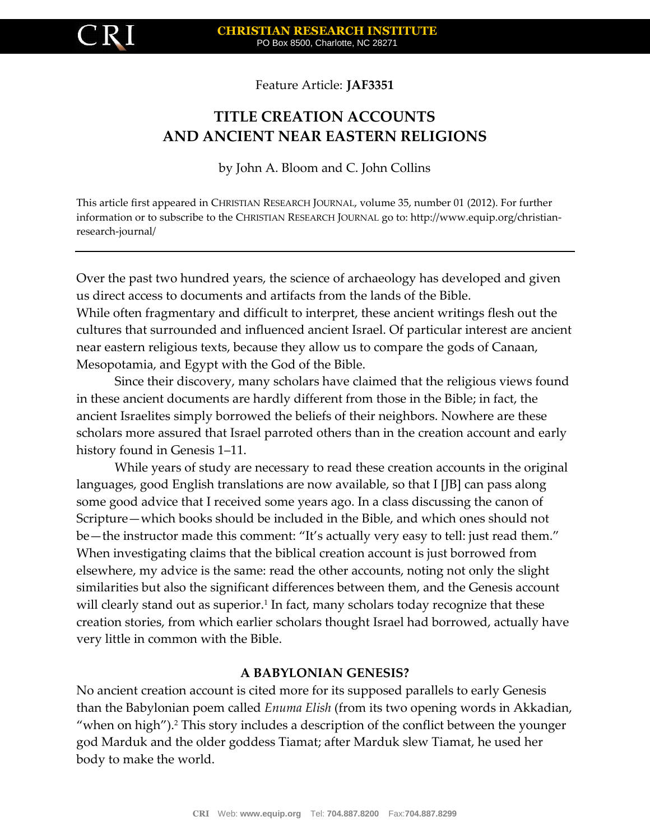

Feature Article: **JAF3351**

# **TITLE CREATION ACCOUNTS AND ANCIENT NEAR EASTERN RELIGIONS**

by John A. Bloom and C. John Collins

This article first appeared in CHRISTIAN RESEARCH JOURNAL, volume 35, number 01 (2012). For further information or to subscribe to the CHRISTIAN RESEARCH JOURNAL go to: http://www.equip.org/christianresearch-journal/

Over the past two hundred years, the science of archaeology has developed and given us direct access to documents and artifacts from the lands of the Bible. While often fragmentary and difficult to interpret, these ancient writings flesh out the cultures that surrounded and influenced ancient Israel. Of particular interest are ancient near eastern religious texts, because they allow us to compare the gods of Canaan, Mesopotamia, and Egypt with the God of the Bible.

Since their discovery, many scholars have claimed that the religious views found in these ancient documents are hardly different from those in the Bible; in fact, the ancient Israelites simply borrowed the beliefs of their neighbors. Nowhere are these scholars more assured that Israel parroted others than in the creation account and early history found in Genesis 1–11.

While years of study are necessary to read these creation accounts in the original languages, good English translations are now available, so that I [JB] can pass along some good advice that I received some years ago. In a class discussing the canon of Scripture—which books should be included in the Bible, and which ones should not be—the instructor made this comment: "It's actually very easy to tell: just read them." When investigating claims that the biblical creation account is just borrowed from elsewhere, my advice is the same: read the other accounts, noting not only the slight similarities but also the significant differences between them, and the Genesis account will clearly stand out as superior.<sup>1</sup> In fact, many scholars today recognize that these creation stories, from which earlier scholars thought Israel had borrowed, actually have very little in common with the Bible.

# **A BABYLONIAN GENESIS?**

No ancient creation account is cited more for its supposed parallels to early Genesis than the Babylonian poem called *Enuma Elish* (from its two opening words in Akkadian, "when on high").<sup>2</sup> This story includes a description of the conflict between the younger god Marduk and the older goddess Tiamat; after Marduk slew Tiamat, he used her body to make the world.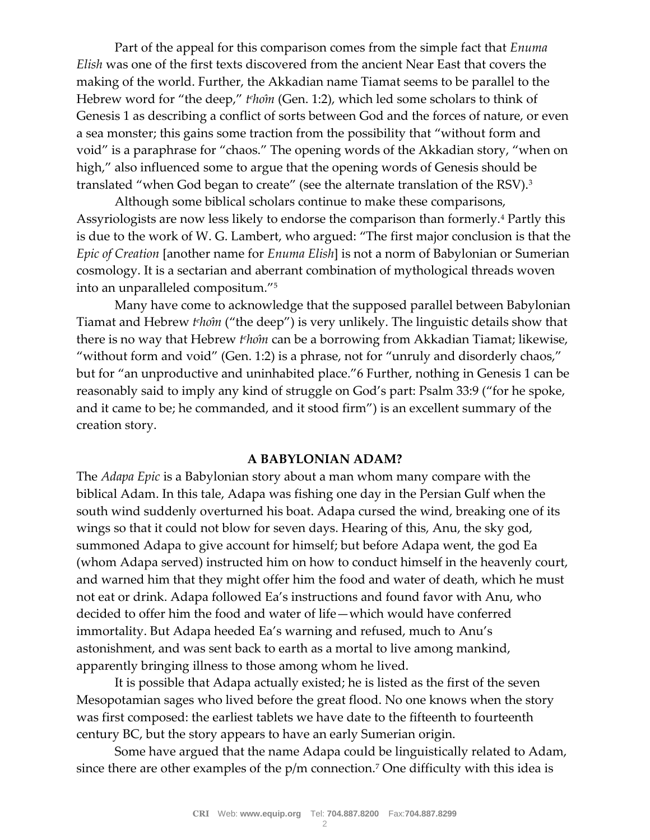Part of the appeal for this comparison comes from the simple fact that *Enuma Elish* was one of the first texts discovered from the ancient Near East that covers the making of the world. Further, the Akkadian name Tiamat seems to be parallel to the Hebrew word for "the deep," *t<sup>e</sup>hom* (Gen. 1:2), which led some scholars to think of Genesis 1 as describing a conflict of sorts between God and the forces of nature, or even a sea monster; this gains some traction from the possibility that "without form and void" is a paraphrase for "chaos." The opening words of the Akkadian story, "when on high," also influenced some to argue that the opening words of Genesis should be translated "when God began to create" (see the alternate translation of the RSV).<sup>3</sup>

Although some biblical scholars continue to make these comparisons, Assyriologists are now less likely to endorse the comparison than formerly.<sup>4</sup> Partly this is due to the work of W. G. Lambert, who argued: "The first major conclusion is that the *Epic of Creation* [another name for *Enuma Elish*] is not a norm of Babylonian or Sumerian cosmology. It is a sectarian and aberrant combination of mythological threads woven into an unparalleled compositum."<sup>5</sup>

Many have come to acknowledge that the supposed parallel between Babylonian Tiamat and Hebrew *t<sup>e</sup>ho*<sup>*m*</sup> ("the deep") is very unlikely. The linguistic details show that there is no way that Hebrew *t<sup>e</sup>hoîn* can be a borrowing from Akkadian Tiamat; likewise, "without form and void" (Gen. 1:2) is a phrase, not for "unruly and disorderly chaos," but for "an unproductive and uninhabited place."6 Further, nothing in Genesis 1 can be reasonably said to imply any kind of struggle on God's part: Psalm 33:9 ("for he spoke, and it came to be; he commanded, and it stood firm") is an excellent summary of the creation story.

#### **A BABYLONIAN ADAM?**

The *Adapa Epic* is a Babylonian story about a man whom many compare with the biblical Adam. In this tale, Adapa was fishing one day in the Persian Gulf when the south wind suddenly overturned his boat. Adapa cursed the wind, breaking one of its wings so that it could not blow for seven days. Hearing of this, Anu, the sky god, summoned Adapa to give account for himself; but before Adapa went, the god Ea (whom Adapa served) instructed him on how to conduct himself in the heavenly court, and warned him that they might offer him the food and water of death, which he must not eat or drink. Adapa followed Ea's instructions and found favor with Anu, who decided to offer him the food and water of life—which would have conferred immortality. But Adapa heeded Ea's warning and refused, much to Anu's astonishment, and was sent back to earth as a mortal to live among mankind, apparently bringing illness to those among whom he lived.

It is possible that Adapa actually existed; he is listed as the first of the seven Mesopotamian sages who lived before the great flood. No one knows when the story was first composed: the earliest tablets we have date to the fifteenth to fourteenth century BC, but the story appears to have an early Sumerian origin.

Some have argued that the name Adapa could be linguistically related to Adam, since there are other examples of the  $p/m$  connection.<sup>7</sup> One difficulty with this idea is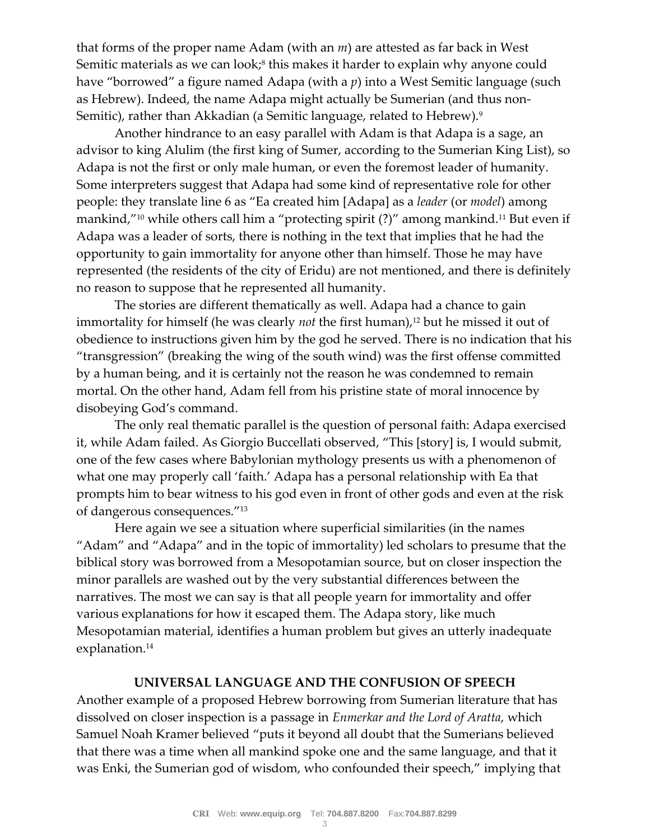that forms of the proper name Adam (with an *m*) are attested as far back in West Semitic materials as we can look;<sup>8</sup> this makes it harder to explain why anyone could have "borrowed" a figure named Adapa (with a *p*) into a West Semitic language (such as Hebrew). Indeed, the name Adapa might actually be Sumerian (and thus non-Semitic), rather than Akkadian (a Semitic language, related to Hebrew).<sup>9</sup>

Another hindrance to an easy parallel with Adam is that Adapa is a sage, an advisor to king Alulim (the first king of Sumer, according to the Sumerian King List), so Adapa is not the first or only male human, or even the foremost leader of humanity. Some interpreters suggest that Adapa had some kind of representative role for other people: they translate line 6 as "Ea created him [Adapa] as a *leader* (or *model*) among mankind,"<sup>10</sup> while others call him a "protecting spirit (?)" among mankind.<sup>11</sup> But even if Adapa was a leader of sorts, there is nothing in the text that implies that he had the opportunity to gain immortality for anyone other than himself. Those he may have represented (the residents of the city of Eridu) are not mentioned, and there is definitely no reason to suppose that he represented all humanity.

The stories are different thematically as well. Adapa had a chance to gain immortality for himself (he was clearly *not* the first human),<sup>12</sup> but he missed it out of obedience to instructions given him by the god he served. There is no indication that his "transgression" (breaking the wing of the south wind) was the first offense committed by a human being, and it is certainly not the reason he was condemned to remain mortal. On the other hand, Adam fell from his pristine state of moral innocence by disobeying God's command.

The only real thematic parallel is the question of personal faith: Adapa exercised it, while Adam failed. As Giorgio Buccellati observed, "This [story] is, I would submit, one of the few cases where Babylonian mythology presents us with a phenomenon of what one may properly call 'faith.' Adapa has a personal relationship with Ea that prompts him to bear witness to his god even in front of other gods and even at the risk of dangerous consequences."<sup>13</sup>

Here again we see a situation where superficial similarities (in the names "Adam" and "Adapa" and in the topic of immortality) led scholars to presume that the biblical story was borrowed from a Mesopotamian source, but on closer inspection the minor parallels are washed out by the very substantial differences between the narratives. The most we can say is that all people yearn for immortality and offer various explanations for how it escaped them. The Adapa story, like much Mesopotamian material, identifies a human problem but gives an utterly inadequate explanation.<sup>14</sup>

### **UNIVERSAL LANGUAGE AND THE CONFUSION OF SPEECH**

Another example of a proposed Hebrew borrowing from Sumerian literature that has dissolved on closer inspection is a passage in *Enmerkar and the Lord of Aratta*, which Samuel Noah Kramer believed "puts it beyond all doubt that the Sumerians believed that there was a time when all mankind spoke one and the same language, and that it was Enki, the Sumerian god of wisdom, who confounded their speech," implying that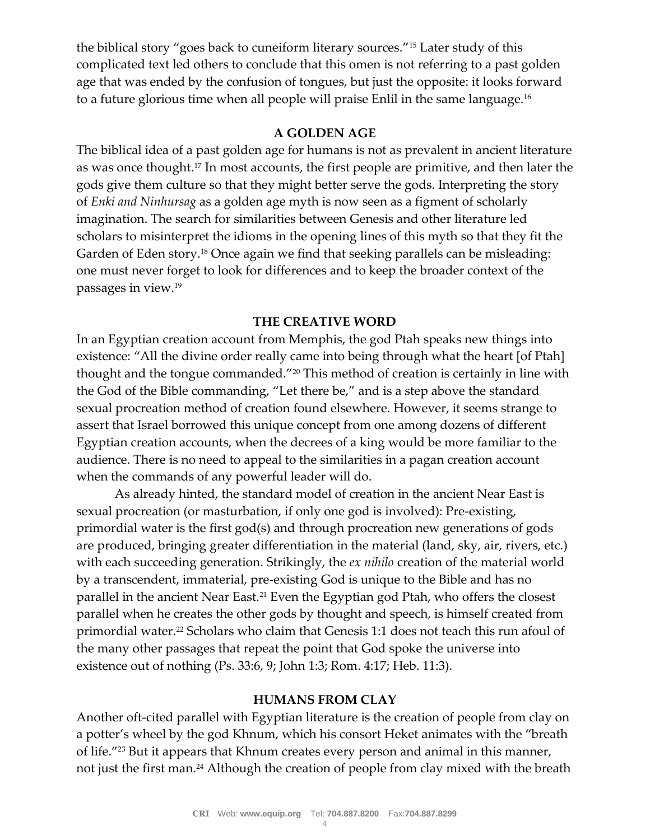the biblical story "goes back to cuneiform literary sources."<sup>15</sup> Later study of this complicated text led others to conclude that this omen is not referring to a past golden age that was ended by the confusion of tongues, but just the opposite: it looks forward to a future glorious time when all people will praise Enlil in the same language.<sup>16</sup>

# **A GOLDEN AGE**

The biblical idea of a past golden age for humans is not as prevalent in ancient literature as was once thought.<sup>17</sup> In most accounts, the first people are primitive, and then later the gods give them culture so that they might better serve the gods. Interpreting the story of *Enki and Ninhursag* as a golden age myth is now seen as a figment of scholarly imagination. The search for similarities between Genesis and other literature led scholars to misinterpret the idioms in the opening lines of this myth so that they fit the Garden of Eden story.<sup>18</sup> Once again we find that seeking parallels can be misleading: one must never forget to look for differences and to keep the broader context of the passages in view.<sup>19</sup>

## **THE CREATIVE WORD**

In an Egyptian creation account from Memphis, the god Ptah speaks new things into existence: "All the divine order really came into being through what the heart [of Ptah] thought and the tongue commanded."<sup>20</sup> This method of creation is certainly in line with the God of the Bible commanding, "Let there be," and is a step above the standard sexual procreation method of creation found elsewhere. However, it seems strange to assert that Israel borrowed this unique concept from one among dozens of different Egyptian creation accounts, when the decrees of a king would be more familiar to the audience. There is no need to appeal to the similarities in a pagan creation account when the commands of any powerful leader will do.

As already hinted, the standard model of creation in the ancient Near East is sexual procreation (or masturbation, if only one god is involved): Pre-existing, primordial water is the first god(s) and through procreation new generations of gods are produced, bringing greater differentiation in the material (land, sky, air, rivers, etc.) with each succeeding generation. Strikingly, the *ex nihilo* creation of the material world by a transcendent, immaterial, pre-existing God is unique to the Bible and has no parallel in the ancient Near East.<sup>21</sup> Even the Egyptian god Ptah, who offers the closest parallel when he creates the other gods by thought and speech, is himself created from primordial water.<sup>22</sup> Scholars who claim that Genesis 1:1 does not teach this run afoul of the many other passages that repeat the point that God spoke the universe into existence out of nothing (Ps. 33:6, 9; John 1:3; Rom. 4:17; Heb. 11:3).

## **HUMANS FROM CLAY**

Another oft-cited parallel with Egyptian literature is the creation of people from clay on a potter's wheel by the god Khnum, which his consort Heket animates with the "breath of life."<sup>23</sup> But it appears that Khnum creates every person and animal in this manner, not just the first man.<sup>24</sup> Although the creation of people from clay mixed with the breath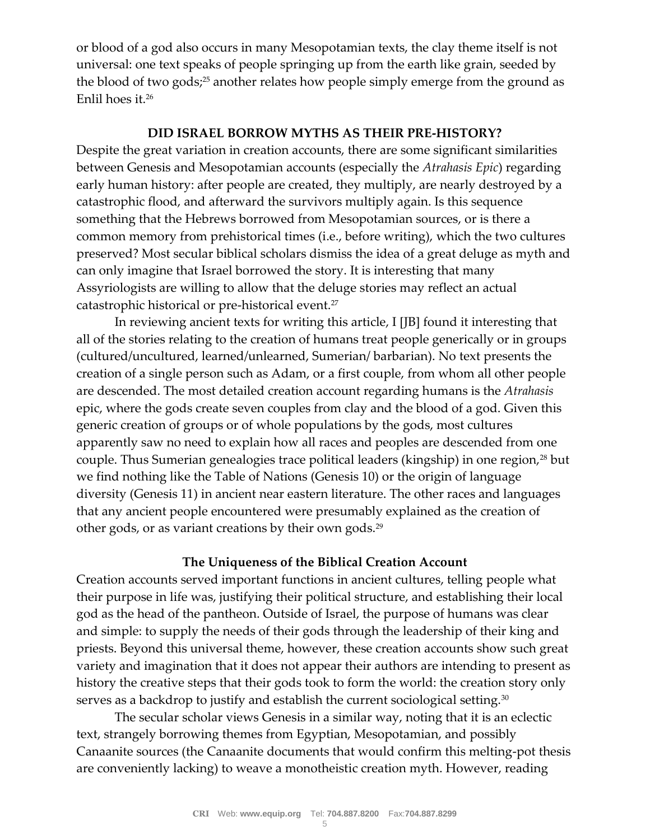or blood of a god also occurs in many Mesopotamian texts, the clay theme itself is not universal: one text speaks of people springing up from the earth like grain, seeded by the blood of two gods;<sup>25</sup> another relates how people simply emerge from the ground as Enlil hoes it.<sup>26</sup>

# **DID ISRAEL BORROW MYTHS AS THEIR PRE-HISTORY?**

Despite the great variation in creation accounts, there are some significant similarities between Genesis and Mesopotamian accounts (especially the *Atrahasis Epic*) regarding early human history: after people are created, they multiply, are nearly destroyed by a catastrophic flood, and afterward the survivors multiply again. Is this sequence something that the Hebrews borrowed from Mesopotamian sources, or is there a common memory from prehistorical times (i.e., before writing), which the two cultures preserved? Most secular biblical scholars dismiss the idea of a great deluge as myth and can only imagine that Israel borrowed the story. It is interesting that many Assyriologists are willing to allow that the deluge stories may reflect an actual catastrophic historical or pre-historical event.<sup>27</sup>

In reviewing ancient texts for writing this article, I [JB] found it interesting that all of the stories relating to the creation of humans treat people generically or in groups (cultured/uncultured, learned/unlearned, Sumerian/ barbarian). No text presents the creation of a single person such as Adam, or a first couple, from whom all other people are descended. The most detailed creation account regarding humans is the *Atrahasis*  epic, where the gods create seven couples from clay and the blood of a god. Given this generic creation of groups or of whole populations by the gods, most cultures apparently saw no need to explain how all races and peoples are descended from one couple. Thus Sumerian genealogies trace political leaders (kingship) in one region,<sup>28</sup> but we find nothing like the Table of Nations (Genesis 10) or the origin of language diversity (Genesis 11) in ancient near eastern literature. The other races and languages that any ancient people encountered were presumably explained as the creation of other gods, or as variant creations by their own gods.<sup>29</sup>

# **The Uniqueness of the Biblical Creation Account**

Creation accounts served important functions in ancient cultures, telling people what their purpose in life was, justifying their political structure, and establishing their local god as the head of the pantheon. Outside of Israel, the purpose of humans was clear and simple: to supply the needs of their gods through the leadership of their king and priests. Beyond this universal theme, however, these creation accounts show such great variety and imagination that it does not appear their authors are intending to present as history the creative steps that their gods took to form the world: the creation story only serves as a backdrop to justify and establish the current sociological setting.<sup>30</sup>

The secular scholar views Genesis in a similar way, noting that it is an eclectic text, strangely borrowing themes from Egyptian, Mesopotamian, and possibly Canaanite sources (the Canaanite documents that would confirm this melting-pot thesis are conveniently lacking) to weave a monotheistic creation myth. However, reading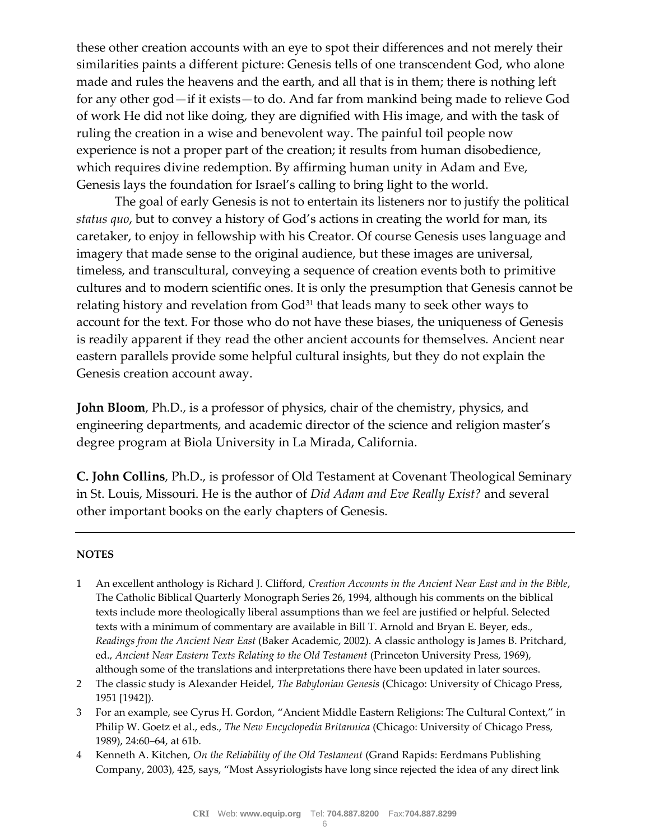these other creation accounts with an eye to spot their differences and not merely their similarities paints a different picture: Genesis tells of one transcendent God, who alone made and rules the heavens and the earth, and all that is in them; there is nothing left for any other god—if it exists—to do. And far from mankind being made to relieve God of work He did not like doing, they are dignified with His image, and with the task of ruling the creation in a wise and benevolent way. The painful toil people now experience is not a proper part of the creation; it results from human disobedience, which requires divine redemption. By affirming human unity in Adam and Eve, Genesis lays the foundation for Israel's calling to bring light to the world.

The goal of early Genesis is not to entertain its listeners nor to justify the political *status quo*, but to convey a history of God's actions in creating the world for man, its caretaker, to enjoy in fellowship with his Creator. Of course Genesis uses language and imagery that made sense to the original audience, but these images are universal, timeless, and transcultural, conveying a sequence of creation events both to primitive cultures and to modern scientific ones. It is only the presumption that Genesis cannot be relating history and revelation from God<sup>31</sup> that leads many to seek other ways to account for the text. For those who do not have these biases, the uniqueness of Genesis is readily apparent if they read the other ancient accounts for themselves. Ancient near eastern parallels provide some helpful cultural insights, but they do not explain the Genesis creation account away.

**John Bloom**, Ph.D., is a professor of physics, chair of the chemistry, physics, and engineering departments, and academic director of the science and religion master's degree program at Biola University in La Mirada, California.

**C. John Collins**, Ph.D., is professor of Old Testament at Covenant Theological Seminary in St. Louis, Missouri. He is the author of *Did Adam and Eve Really Exist?* and several other important books on the early chapters of Genesis.

#### **NOTES**

- 1 An excellent anthology is Richard J. Clifford, *Creation Accounts in the Ancient Near East and in the Bible*, The Catholic Biblical Quarterly Monograph Series 26, 1994, although his comments on the biblical texts include more theologically liberal assumptions than we feel are justified or helpful. Selected texts with a minimum of commentary are available in Bill T. Arnold and Bryan E. Beyer, eds., *Readings from the Ancient Near East* (Baker Academic, 2002). A classic anthology is James B. Pritchard, ed., *Ancient Near Eastern Texts Relating to the Old Testament* (Princeton University Press, 1969), although some of the translations and interpretations there have been updated in later sources.
- 2 The classic study is Alexander Heidel, *The Babylonian Genesis* (Chicago: University of Chicago Press, 1951 [1942]).
- 3 For an example, see Cyrus H. Gordon, "Ancient Middle Eastern Religions: The Cultural Context," in Philip W. Goetz et al., eds., *The New Encyclopedia Britannica* (Chicago: University of Chicago Press, 1989), 24:60–64, at 61b.
- 4 Kenneth A. Kitchen, *On the Reliability of the Old Testament* (Grand Rapids: Eerdmans Publishing Company, 2003), 425, says, "Most Assyriologists have long since rejected the idea of any direct link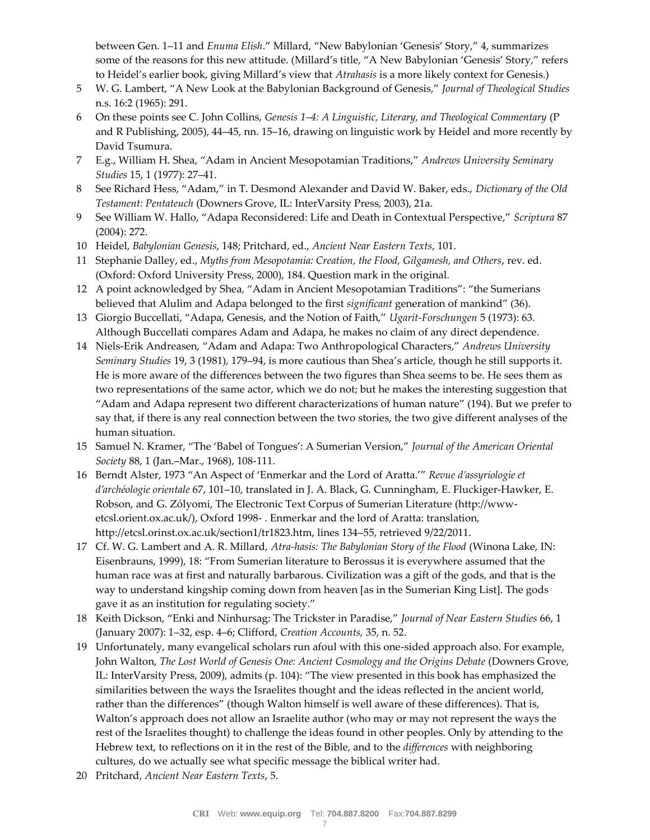between Gen. 1–11 and *Enuma Elish*." Millard, "New Babylonian 'Genesis' Story," 4, summarizes some of the reasons for this new attitude. (Millard's title, "A New Babylonian 'Genesis' Story," refers to Heidel's earlier book, giving Millard's view that *Atrahasis* is a more likely context for Genesis.)

- 5 W. G. Lambert, "A New Look at the Babylonian Background of Genesis," *Journal of Theological Studies*  n.s. 16:2 (1965): 291.
- 6 On these points see C. John Collins, *Genesis 1–4: A Linguistic, Literary, and Theological Commentary* (P and R Publishing, 2005), 44–45, nn. 15–16, drawing on linguistic work by Heidel and more recently by David Tsumura.
- 7 E.g., William H. Shea, "Adam in Ancient Mesopotamian Traditions," *Andrews University Seminary Studies* 15, 1 (1977): 27–41.
- 8 See Richard Hess, "Adam," in T. Desmond Alexander and David W. Baker, eds., *Dictionary of the Old Testament: Pentateuch* (Downers Grove, IL: InterVarsity Press, 2003), 21a.
- 9 See William W. Hallo, "Adapa Reconsidered: Life and Death in Contextual Perspective," *Scriptura* 87 (2004): 272.
- 10 Heidel, *Babylonian Genesis*, 148; Pritchard, ed., *Ancient Near Eastern Texts*, 101.
- 11 Stephanie Dalley, ed., *Myths from Mesopotamia: Creation, the Flood, Gilgamesh, and Others*, rev. ed. (Oxford: Oxford University Press, 2000), 184. Question mark in the original.
- 12 A point acknowledged by Shea, "Adam in Ancient Mesopotamian Traditions": "the Sumerians believed that Alulim and Adapa belonged to the first *significant* generation of mankind" (36).
- 13 Giorgio Buccellati, "Adapa, Genesis, and the Notion of Faith," *Ugarit-Forschungen* 5 (1973): 63. Although Buccellati compares Adam and Adapa, he makes no claim of any direct dependence.
- 14 Niels-Erik Andreasen, "Adam and Adapa: Two Anthropological Characters," *Andrews University Seminary Studies* 19, 3 (1981), 179–94, is more cautious than Shea's article, though he still supports it. He is more aware of the differences between the two figures than Shea seems to be. He sees them as two representations of the same actor, which we do not; but he makes the interesting suggestion that "Adam and Adapa represent two different characterizations of human nature" (194). But we prefer to say that, if there is any real connection between the two stories, the two give different analyses of the human situation.
- 15 Samuel N. Kramer, "The 'Babel of Tongues': A Sumerian Version," *Journal of the American Oriental Society* 88, 1 (Jan.–Mar., 1968), 108-111.
- 16 Berndt Alster, 1973 "An Aspect of 'Enmerkar and the Lord of Aratta."" Revue d'assyriologie et d'archéologie orientale 67, 101-10, translated in J. A. Black, G. Cunningham, E. Fluckiger-Hawker, E. Robson, and G. Zólyomi, The Electronic Text Corpus of Sumerian Literature (http://wwwetcsl.orient.ox.ac.uk/), Oxford 1998- . Enmerkar and the lord of Aratta: translation, http://etcsl.orinst.ox.ac.uk/section1/tr1823.htm, lines 134–55, retrieved 9/22/2011.
- 17 Cf. W. G. Lambert and A. R. Millard, *Atra-hasis: The Babylonian Story of the Flood* (Winona Lake, IN: Eisenbrauns, 1999), 18: "From Sumerian literature to Berossus it is everywhere assumed that the human race was at first and naturally barbarous. Civilization was a gift of the gods, and that is the way to understand kingship coming down from heaven [as in the Sumerian King List]. The gods gave it as an institution for regulating society."
- 18 Keith Dickson, "Enki and Ninhursag: The Trickster in Paradise," *Journal of Near Eastern Studies* 66, 1 (January 2007): 1–32, esp. 4–6; Clifford, *Creation Accounts,* 35, n. 52.
- 19 Unfortunately, many evangelical scholars run afoul with this one-sided approach also. For example, John Walton, *The Lost World of Genesis One: Ancient Cosmology and the Origins Debate (Downers Grove,* IL: InterVarsity Press, 2009), admits (p. 104): "The view presented in this book has emphasized the similarities between the ways the Israelites thought and the ideas reflected in the ancient world, rather than the differences" (though Walton himself is well aware of these differences). That is, Walton's approach does not allow an Israelite author (who may or may not represent the ways the rest of the Israelites thought) to challenge the ideas found in other peoples. Only by attending to the Hebrew text, to reflections on it in the rest of the Bible, and to the *differences* with neighboring cultures, do we actually see what specific message the biblical writer had.
- 20 Pritchard, *Ancient Near Eastern Texts*, 5.